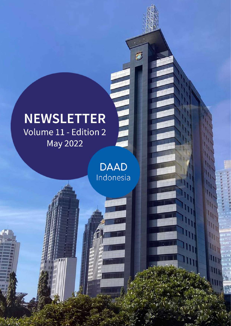# **NEWSLETTER** Volume 11 - Edition 2 May 2022

**DAAD** Indonesia

m m

m

пĦ

mill

Ш

(iii)

lin

THE LI

 $\vec{v}$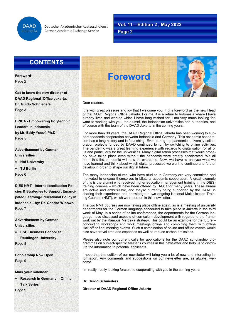

### **Vol. 11—Edition 2 , May 2022**

**July 2020**

**Page 2**

### **CONTENTS**

**Foreword** Page 2

**Get to know the new director of DAAD Regional Office Jakarta, Dr. Guido Schnieders**  Page 3

**ERICA - Empowering Polytechnic Leaders in Indonesia by Mr. Eddy Yusuf, Ph.D**  Page 5

**Advertisement by German Universities**

• **Hof University**

• **TU Berlin** Page 6

**DIES NMT - Internationalisation Policies & Strategies to Support Emancipated Learning-Educational Policy in Indonesia—by: Dr. Condro Wibowo** Page 7

**Advertisement by German Universities**

• **ESB Business School at Reutlingen University**

Page 8

**Scholarship Now Open** Page 9

**Mark your Calendar**

• **Research In Germany— Online Talk Series**

Page 9



Dear readers,

It is with great pleasure and joy that I welcome you in this foreword as the new Head of the DAAD Regional Office Jakarta. For me, it is a return to Indonesia where I have already lived and worked which I have long wished for. I am very much looking forward to working with you, the alumni, the Indonesian universities and authorities, and of course with the team of the DAAD Jakarta in the coming years.

For more than 30 years, the DAAD Regional Office Jakarta has been working to support academic cooperation between Indonesia and Germany. This academic cooperation has a long history and is flourishing. Even during the pandemic, university collaboration projects funded by DAAD continued to run by switching to online activities. The pandemic was a great learning experience with regards to digitalisation for all of us and particularly for the universities. Many digitalisation processes that would probably have taken place even without the pandemic were greatly accelerated. We all hope that the pandemic will now be overcome. Now, we have to analyse what we have learned and think about which digital processes we want to continue and further develop in order to shape our digital future.

The many Indonesian alumni who have studied in Germany are very committed and motivated to engage themselves in bilateral academic cooperation. A great example of this is the alumni who received higher education management training in the DIEStraining courses – which have been offered by DAAD for many years. These alumni are active and enthusiastic, and they're currently being supported by the DAAD in sharing their experience and knowledge in two ongoing National Multiplication Training Courses (NMT), which we report on in this newsletter.

The two NMT courses are now taking place offline again, as is a meeting of university departments for the German language scheduled to take place in Jakarta in the third week of May. In a series of online conferences, the departments for the German language have discussed aspects of curriculum development with regards to the framework set by the Kampus Merdeka strategy. This could be an example for the future – conducting workshops and work meetings online and combining them with offline kick-off or final meeting events. Such a combination of online and offline events would also save travel time and expenses as well as reduce carbon emissions.

Please also note our current calls for applications for the DAAD scholarship programmes on subject-specific Master's courses in this newsletter and help us to distribute the information to potential applicants.

I hope that this edition of our newsletter will bring you a lot of new and interesting information. Any comments and suggestions on our newsletter are, as always, welcome.

I'm really, really looking forward to cooperating with you in the coming years.

**Dr. Guido Schnieders.**

**Director of DAAD Regional Office Jakarta**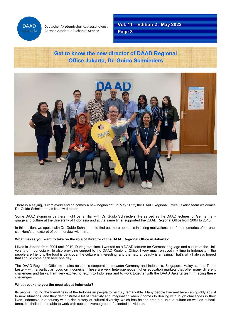

**Page 3 Vol. 11—Edition 2 , May 2022**

**July 2020**

### **Get to know the new director of DAAD Regional Office Jakarta, Dr. Guido Schnieders**



There is a saying, "From every ending comes a new beginning". In May 2022, the DAAD Regional Office Jakarta team welcomes Dr. Guido Schnieders as its new director.

Some DAAD alumni or partners might be familiar with Dr. Guido Schnieders. He served as the DAAD lecturer for German language and culture at the University of Indonesia and at the same time, supported the DAAD Regional Office from 2004 to 2010.

In this edition, we spoke with Dr. Guido Schnieders to find out more about his inspiring motivations and fond memories of Indonesia. Here's an excerpt of our interview with him.

### **What makes you want to take on the role of Director of the DAAD Regional Office in Jakarta?**

I lived in Jakarta from 2004 until 2010. During that time, I worked as a DAAD lecturer for German language and culture at the University of Indonesia while also providing support to the DAAD Regional Office. I very much enjoyed my time in Indonesia – the people are friendly, the food is delicious, the culture is interesting, and the natural beauty is amazing. That's why I always hoped that I could come back here one day.

The DAAD Regional Office maintains academic cooperation between Germany and Indonesia, Singapore, Malaysia, and Timor Leste – with a particular focus on Indonesia. These are very heterogeneous higher education markets that offer many different challenges and tasks. I am very excited to return to Indonesia and to work together with the DAAD Jakarta team in facing these challenges.

#### **What speaks to you the most about Indonesia?**

Its people. I found the friendliness of the Indonesian people to be truly remarkable. Many people I've met here can quickly adjust to new situations, and they demonstrate a lot of creativity and imagination when it comes to dealing with tough challenges in their lives. Indonesia is a country with a rich history of cultural diversity, which has helped create a unique culture as well as subcultures. I'm thrilled to be able to work with such a diverse group of talented individuals.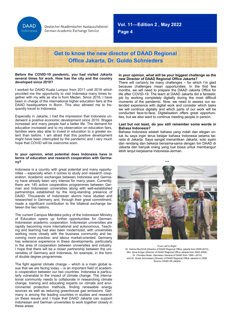**DAAD** Indonesia

Deutscher Akademischer Austauschdienst German Academic Exchange Service

**Vol. 11—Edition 2 , May 2022**

**Page 4**

### **Get to know the new director of DAAD Regional Office Jakarta, Dr. Guido Schnieders**

#### **Before the COVID-19 pandemic, you had visited Jakarta several times for work. How has the city and the country developed since 2010?**

I worked for DAAD Kuala Lumpur from 2011 until 2016 which provided me the opportunity to visit Indonesia many times together with my wife as she is from Medan. Since 2016, I have been in charge of the international higher education fairs at the DAAD headquarters in Bonn. This also allowed me to frequently travel to Indonesia.

Especially in Jakarta, I had the impression that Indonesia underwent a positive economic development since 2010. Wages increased and many people had a better life. The demand for education increased and to my observation on education fairs, families were also able to invest in education to a greater extent than before. I am afraid that this positive development might have been interrupted by the pandemic and I very much hope that COVID will be overcome soon.

#### **In your opinion, what potential does Indonesia have in terms of education and research cooperation with Germany?**

Indonesia is a country with great potential and many opportunities – especially when it comes to study and research cooperation. Academic exchanges between Indonesia and Germany have already been very intense for many years. Currently, there are 145 active cooperation programmes between German and Indonesian universities along with well-established partnerships established by the long-standing presence of DAAD. Thousands of Indonesian alumni have studied and researched in Germany and, through their great commitment, made a significant contribution to the bilateral exchange between the two nations.

The current Campus Merdeka policy of the Indonesian Ministry of Education opens up further opportunities for German-Indonesian academic cooperation. Indonesian universities are matily becoming more international and autonomous. Teaching and learning had also been modernized, with universities working more closely with the business community and becoming more practise- and labour market-oriented. Germany has extensive experience in these developments, particularly in the area of cooperation between universities and industry. I hope that there will be a closer partnership between the universities of Germany and Indonesia, for example, in the form of double degree programmes.

The fight against climate change – which is a main global issue that we are facing today – is an important field of academic cooperation between our two countries. Indonesia is particularly vulnerable to the impact of climate change. The international community needs to collaborate in researching climate change, training and educating experts on climate and environmental protection methods, finding renewable energy sources as well as reducing greenhouse gas emissions. Germany is among the leading countries in studies and research on these issues and I hope that DAAD Jakarta can support Indonesian and German universities to work together closely in these areas.

#### **In your opinion, what will be your biggest challenge as the new Director of DAAD Regional Office Jakarta?**

**July 2020**

There will certainly be many challenges – for which I'm glad because challenges mean opportunities. In the first few months, we will need to prepare the DAAD Jakarta Office for life after COVID-19. The team at DAAD Jakarta did a fantastic job by working completely digitally during the most difficult moments of the pandemic. Now, we need to assess our extended experience with digital work and consider which tasks we will continue digitally and which parts of our work will be conducted face-to-face. Digitalisation offers great opportunities, but we also want to continue meeting people in person.

#### **Last but not least, do you still remember some words in Bahasa Indonesia?**

Bahasa Indonesia adalah bahasa yang indah dan elegan untuk itu saya ingin terus belajar bahasa Indonesia selama berada di Jakarta. Saya sangat menantikan Jakarta, soto ayam dan rendang dan bekerja bersama-sama dengan tim DAAD di Jakarta dan banyak orang yang luar biasa untuk membangun lebih lanjut kerjasama Indonesia-Jerman.



#### From Left to Right:

Dr. Helmut Buchholt (Director of DAAD Regional Office Jakarta from 2009-2012), Mrs. Ilona Krüger (Director of DAAD Regional Office Jakarta from 2002-2008), Dr. Christian Bode (Secretary General of DAAD from 1990—2010) and Dr. Guido Schnieders (Director of DAAD Regional Office Jakarta) in 2008. Source: DAAD AS Jakarta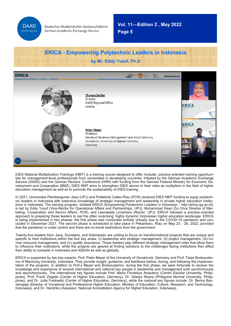

**July 2020**

**Page 5**

## **ERICA - Empowering Polytechnic Leaders in Indonesia by Mr. Eddy Yusuf, Ph.D**



DIES National Multiplication Trainings (NMT) is a training course designed to offer modular, practice-oriented training opportunities for management-level professionals from universities in developing countries. Initiated by the German Academic Exchange Service (DAAD) and the German Rectors' Conference (HRK) with funding from the German Federal Ministry for Economic Development and Cooperation (BMZ), DIES NMT aims to strengthen DIES alumni in their roles as multipliers in the field of higher education management as well as to promote the sustainability of DIES training.

In 2021, Universitas Pembangunan Jaya (UPJ) and Politeknik Caltex Riau (PCR) received DIES NMT funding to equip polytechnic leaders in Indonesia with extensive knowledge of strategic management and leadership in private higher education institutions in Indonesia. The training program, dubbed ERICA (Empowering Polytechnic Leaders in Indonesia – http://erica.upj.ac.id), is led by Eddy Yusuf (Vice-Rector for Operational Affairs and Partnerships, UPJ), Muhammad Ihsan Zul (Vice Director of Marketing, Cooperation and Alumni Affairs, PCR), and Leenawaty Limantara (Rector, UPJ). ERICA followed a practice-oriented approach to preparing these leaders to sail the often surprising, highly dynamic Indonesian higher education landscape. ERICA is being implemented in two phases: the first phase was conducted entirely virtually due to the COVID-19 pandemic and concluded in December 2021. The second phase is scheduled to take place in Pekanbaru, Riau on May 23 - 26, 2022, provided that the pandemic is under control and there are no travel restrictions from the government.

Twenty-five leaders from Java, Sumatera, and Kalimantan are uniting to focus on transformational projects that are unique and specific to their institutions within the four key areas: (i) leadership and strategic management, (ii) project management, (iii) human resource management, and (iv) quality assurance. These leaders play different strategic management roles that allow them to influence their institutions, while the projects are geared at finding solutions to the challenges facing institutions that affect their ability to compete in Indonesia and ASEAN as well as globally.

ERICA is supported by two key experts: Prof. Peter Mayer of the University of Osnabruck, Germany and Prof. Tatas Brotosudarmo of Machung University, Indonesia. They provide insight, guidance, and feedback before, during, and following the implementation of the program. In addition to Prof.s Mayer and Brotosudarmo, during the first phase, we were fortunate to receive the knowledge and experience of several international and national key people in leadership and management both synchronously and asynchronously. The international key figures include Prof. Maria Flordeliza Anasatcio (Centro Escolar University, Philippines), Prof. Frank Ziegele (Center of Higher Education, Germany), Dr. Gladys Nivera (Philippine Normal University, Philippines), and Dr. Jutta Fredowitz (Center of Higher Education, Germany), while the national key figures include Dr. Benny Bandanajaja (Director of Vocational and Professional Higher Education, Ministry of Education, Culture, Research, and Technology, Indonesia), and Dr. Hendriko (Assessor, National Accreditation Agency for Higher Education, Indonesia).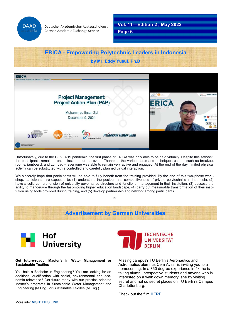

**Page 6 Vol. 11—Edition 2 , May 2022**

**July 2020**

### **ERICA - Empowering Polytechnic Leaders in Indonesia by Mr. Eddy Yusuf, Ph.D**



rooms, jamboard, and zumpad – everyone was able to remain very active and engaged. At the end of the day, limited physical Unfortunately, due to the COVID-19 pandemic, the first phase of ERICA was only able to be held virtually. Despite this setback, the participants remained enthusiastic about the event. Thanks to the various tools and techniques used – such as breakout activity can be substituted with a controlled and carefully planned virtual interaction.

We sincerely hope that participants will be able to fully benefit from the training provided. By the end of this two-phase workshop, participants are expected to: (1) understand the position and competitiveness of private polytechnics in Indonesia, (2) have a solid comprehension of university governance structure and functional management in their institution, (3) possess the agility to manoeuvre through the fast-moving higher education landscape, (4) carry out measurable transformation of their institution using tools provided during training, and (5) develop partnership and network among participants.

\*\*\*

### **Advertisement by German Universities**



#### **Get future-ready: Master's in Water Management or Sustainable Textiles**

You hold a Bachelor in Engineering? You are looking for an additional qualification with social, environmental and economic relevance? Get future-ready with our practice-oriented Master's programs in Sustainable Water Management and Engineering (M.Eng.) or Sustainable Textiles (M.Eng.).



Missing campus? TU Berlin's Aeronautics and Astronautics alumnus Cem Avsar is inviting you to a homecoming. In a 360 degree experience in 4k, he is taking alumni, prospective students and anyone who is interested on a walk down memory lane by visiting secret and not so secret places on TU Berlin's Campus Charlottenburg.

Check out the film **[HERE](https://www.tu.berlin/en/topics/tu-berlin-in-360-degrees/)**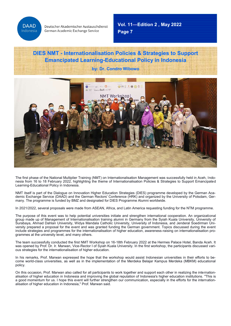

**Page 7 Vol. 11—Edition 2 , May 2022**

**July 2020**

### **DIES NMT - Internationalisation Policies & Strategies to Support Emancipated Learning-Educational Policy in Indonesia**

**by: Dr. Condro Wibowo**



The first phase of the National Multiplier Training (NMT) on Internationalisation Management was successfully held in Aceh, Indonesia from 16 to 18 February 2022, highlighting the theme of Internationalisation Policies & Strategies to Support Emancipated Learning-Educational Policy in Indonesia.

NMT itself is part of the Dialogue on Innovation Higher Education Strategies (DIES) programme developed by the German Academic Exchange Service (DAAD) and the German Rectors' Conference (HRK) and organized by the University of Potsdam, Germany. The programme is funded by BMZ and designated for DIES Programme Alumni worldwide.

In 2021/2022, several proposals were made from ASEAN, Africa, and Latin America requesting funding for the NTM programme.

The purpose of this event was to help potential universities initiate and strengthen international cooperation. An organizational group made up of Management of Internationalisation training alumni in Germany from the Syiah Kuala University, University of Surabaya, Ahmad Dahlan University, Widya Mandala Catholic University, University of Indonesia, and Jenderal Soedirman University prepared a proposal for the event and was granted funding the German government. Topics discussed during the event include strategies and programmes for the internationalisation of higher education, awareness-raising on internationalisation programmes at the university level, and many others.

The team successfully conducted the first NMT Workshop on 16-18th February 2022 at the Hermes Palace Hotel, Banda Aceh. It was opened by Prof. Dr. Ir. Marwan, Vice-Rector I of Syiah Kuala University. In the first workshop, the participants discussed various strategies for the internationalisation of higher education.

In his remarks, Prof. Marwan expressed the hope that the workshop would assist Indonesian universities in their efforts to become world-class universities, as well as in the implementation of the Merdeka Belajar Kampus Merdeka (MBKM) educational policy.

On this occasion, Prof. Marwan also called for all participants to work together and support each other in realizing the internationalisation of higher education in Indonesia and improving the global reputation of Indonesia's higher education institutions. "This is a good momentum for us. I hope this event will further strengthen our communication, especially in the efforts for the internationalisation of higher education in Indonesia," Prof. Marwan said.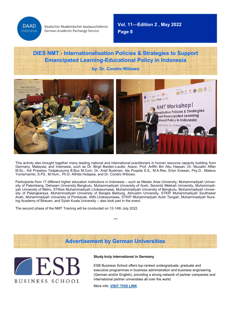**DAAD** Indonesia

Deutscher Akademischer Austauschdienst German Academic Exchange Service

**Page 8 Vol. 11—Edition 2 , May 2022**

**July 2020**

### **DIES NMT - Internationalisation Policies & Strategies to Support Emancipated Learning-Educational Policy in Indonesia**

**by: Dr. Condro Wibowo**



This activity also brought together many leading national and international practitioners in human resource capacity building from Germany, Malaysia, and Indonesia, such as Dr. Birgit Barden-Laufer, Assoc. Prof. Ariffin Bin Abu Hassan, Dr. Muzailin Affan M.Sc., Adi Prasetyo Tedjakusuma B.Bus M.Com, Dr. Arief Budiman, Ida Puspita S.S., M.A.Res, Erlyn Erawan, Psy.D., Mateus Yumarnamto, S.Pd., M.Hum., Ph.D. Alfrida Hutapea, and Dr. Condro Wibowo.

Participants from 17 different higher education institutions in Indonesia – such as Medan Area University, Muhammadiyah University of Palembang, Dehasen University Bengkulu, Muhammadiyah University of Aceh, Serambi Mekkah University, Muhammadiyah University of Metro, STIKes Muhammadiyah Lhokseumawe, Muhammadiyah University of Bengkulu, Muhammadiyah University of Palangkaraya, Muhammadiyah University of Bangka Belitung, Almuslim University, STKIP Muhammadiyah Southwest Aceh, Muhammadyah University of Pontianak, IAIN Lhokseumawe, STKIP Muhammadyah Aceh Tengah, Muhammadiyah Nursing Academy of Bireuen, and Syiah Kuala University – also took part in the event.

The second phase of the NMT Training will be conducted on 12-14th July 2022.

**Advertisement by German Universities**

\*\*\*



### **Study truly international in Germany**

ESB Business School offers top-ranked undergraduate, graduate and executive programmes in business administration and business engineering (German and/or English), providing a strong network of partner companies and international partner universities all over the world.

More info: **[VISIT THIS LINK](https://www.esb-business-school.de/en/degree-programmes/?pk_campaign=DAAD%20Newsletter)**